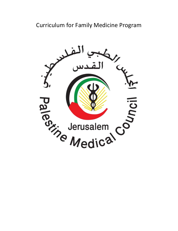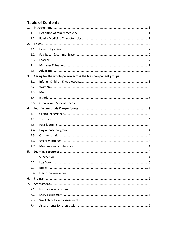# **Table of Contents**

| 1.  |  |
|-----|--|
| 1.1 |  |
| 1.2 |  |
| 2.  |  |
| 2.1 |  |
| 2.2 |  |
| 2.3 |  |
| 2.4 |  |
| 2.5 |  |
| 3.  |  |
| 3.1 |  |
| 3.2 |  |
| 3.3 |  |
| 3.4 |  |
| 3.5 |  |
| 4.  |  |
| 4.1 |  |
| 4.2 |  |
| 4.3 |  |
| 4.4 |  |
| 4.5 |  |
| 4.6 |  |
| 4.7 |  |
| 5.  |  |
| 5.1 |  |
| 5.2 |  |
| 5.3 |  |
| 5.4 |  |
| 6.  |  |
| 7.  |  |
| 7.1 |  |
| 7.2 |  |
| 7.3 |  |
| 7.4 |  |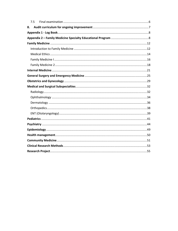| 7.5 |  |
|-----|--|
| 8.  |  |
|     |  |
|     |  |
|     |  |
|     |  |
|     |  |
|     |  |
|     |  |
|     |  |
|     |  |
|     |  |
|     |  |
|     |  |
|     |  |
|     |  |
|     |  |
|     |  |
|     |  |
|     |  |
|     |  |
|     |  |
|     |  |
|     |  |
|     |  |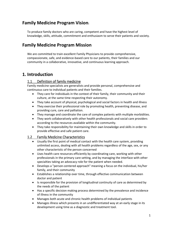# **Family Medicine Program Vision:**

To produce family doctors who are caring, competent and have the highest level of knowledge, skills, attitude, commitment and enthusiasm to serve their patients and society.

# **Family Medicine Program Mission**

We are committed to train excellent Family Physicians to provide comprehensive, compassionate, safe, and evidence‐based care to our patients, their families and our community in a collaborative, innovative, and continuous learning approach.

# **1. Introduction**

# 1.1 Definition of family medicine

Family medicine specialists are generalists and provide personal, comprehensive and continuous care to individual patients and their families.

- They care for individuals in the context of their family, their community and their culture, at the same time respecting their autonomy.
- They take account of physical, psychological and social factors in health and illness
- They exercise their professional role by promoting health, preventing disease, and providing cure, care and palliation.
- They manage and coordinate the care of complex patients with multiple morbidities.
- They work collaboratively with other health professionals and social care providers according to the resources available within the community.
- They take responsibility for maintaining their own knowledge and skills in order to provide effective and safe patient care.

# 1.2 Family Medicine Characteristics

- Usually the first point of medical contact with the health care system, providing unlimited access, dealing with all health problems regardless of the age, sex, or any other characteristic of the person concerned
- Uses health care resources efficiently by coordinating care, working with other professionals in the primary care setting, and by managing the interface with other specialties taking an advocacy role for the patient when needed.
- Develops a "person-centered approach" meaning a focus on the individual, his/her family, and their community
- Establishes a relationship over time, through effective communication between doctor and patient
- Is responsible for the provision of longitudinal continuity of care as determined by the needs of the patient
- Has a specific decision making process determined by the prevalence and incidence of illness in the community
- Manages both acute and chronic health problems of individual patients
- Manages illness which presents in an undifferentiated way at an early stage in its development using time as a diagnostic and treatment tool.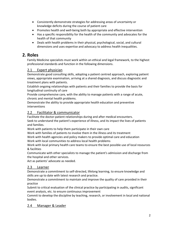- Consistently demonstrate strategies for addressing areas of uncertainty or knowledge deficits during the course of patient care
- Promotes health and well-being both by appropriate and effective intervention
- Has a specific responsibility for the health of the community and advocates for the health of that community
- Deals with health problems in their physical, psychological, social, and cultural dimensions and uses expertise and advocacy to address health inequalities.

# **2. Roles**

Family Medicine specialists must work within an ethical and legal framework, to the highest professional standards and function in the following dimensions.

# 2.1 Expert physician

Demonstrate good consulting skills, adopting a patient centred approach, exploring patient views, appropriate examination, arriving at a shared diagnosis, and discuss diagnostic and treatment plans with patients.

Establish ongoing relationships with patients and their families to provide the basis for longitudinal continuity of care

Provide comprehensive care, with the ability to manage patients with a range of acute, chronic and mental health problems.

Demonstrate the ability to provide appropriate health education and preventive interventions

# 2.2 Facilitator & communicator

Facilitate the doctor-patient relationships during and after medical encounters.

Seek to understand the patient's experience of illness, and its impact the lives of patients and families.

Work with patients to help them participate in their own care

Work with families of patients to involve them in the illness and its treatment

Work with health agencies and policy makers to provide optimal care and education Work with local communities to address local health problems

Work with local primary health care teams to ensure the best possible use of local resources & facilities

Communicate with other specialists to manage the patient's admission and discharge from the hospital and other services.

Act as patients' advocate as needed.

# 2.3 Learner

Demonstrate a commitment to self‐directed, lifelong learning, to ensure knowledge and skills are up to date with latest research and practice.

Demonstrate a commitment to maintain and improve the quality of care provided in their practice

Submit to critical evaluation of the clinical practice by participating in audits, significant event analysis, etc. to ensure continuous improvement

Commit to develop the discipline by teaching, research, or involvement in local and national bodies.

### 2.4 Manager & Leader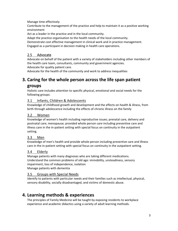Manage time effectively

Contribute to the management of the practice and help to maintain it as a positive working environment

Act as a leader in the practice and in the local community.

Adapt the practice organisation to the health needs of the local community.

Demonstrate cost effective management in clinical work and in practice management. Engaged as a participant in decision making in health care operations.

# 2.5 Advocate

Advocate on behalf of the patient with a variety of stakeholders including other members of the health care team, consultants, community and government agencies. Advocate for quality patient care.

Advocate for the health of the community and work to address inequalities

# **3. Caring for the whole person across the life span patient**

# **groups**

Holistic care includes attention to specific physical, emotional and social needs for the following groups:

# 3.1 Infants, Children & Adolescents

Knowledge of childhood growth and development and the effects on health & illness, from birth through adolescence including the effects of chronic illness on the family

# 3.2 Women

Knowledge of women's health including reproductive issues; prenatal care, delivery and postnatal care; menopause; provided whole person care including preventive care and illness care in the in‐patient setting with special focus on continuity in the outpatient setting.

# 3.3 Men

Knowledge of men's health and provide whole person including preventive care and illness care in the in‐patient setting with special focus on continuity in the outpatient setting.

### 3.4 Elderly

Manage patients with many diagnoses who are taking different medications. Understand the common problems of old age: immobility, unsteadiness, sensory impairment, loss of independence, isolation Manage patients with dementia

### 3.5 Groups with Special Needs

Identify to patients with particular needs and their families such as intellectual, physical, sensory disability, socially disadvantaged, and victims of domestic abuse.

# **4. Learning methods & experiences**

The principles of Family Medicine will be taught by exposing residents to workplace experience and academic didactics using a variety of adult learning methods.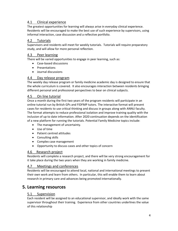### 4.1 Clinical experience

The greatest opportunities for learning will always arise in everyday clinical experience. Residents will be encouraged to make the best use of such experience by supervisors, using informal interaction, case discussion and a reflective portfolio.

# 4.2 Tutorials

Supervisors and residents will meet for weekly tutorials. Tutorials will require preparatory study, and will allow for more personal reflection.

### 4.3 Peer learning

There will be varied opportunities to engage in peer learning, such as:

- Case‐based discussions
- Presentations
- $\bullet$  Iournal discussions

### 4.4 Day release program

The weekly day release program or family medicine academic day is designed to ensure that the whole curriculum is covered. It also encourages interaction between residents bringing different personal and professional perspectives to bear on clinical subjects.

### 4.5 On line tutorial

Once a month during the first two years of the program residents will participate in an online tutorial run by British GPs and FIDFMP tutors. The interactive format will present cases for residents to use critical thinking and discuss in groups along with ANNU faculty. The format attempts to reduce professional isolation and improve training quality with the inclusion of up to date information. After 2020 continuation depends on the identification of a new platform for running the tutorials. Potential Family Medicine topics include:

- The management of uncertainty.
- Use of time
- Patient centred attitudes
- Consulting skills
- Complex case management
- Opportunity to discuss cases and other topics of concern

### 4.6 Research project

Residents will complete a research project, and there will be very strong encouragement for it take place during the two years when they are working in family medicine.

### 4.7 Meetings and conferences

Residents will be encouraged to attend local, national and international meetings to present their own work and learn from others. In particular, this will enable them to learn about research in primary care and advances being promoted internationally.

# **5. Learning resources**

### 5.1 Supervision

Each resident will be assigned to an educational supervisor, and ideally work with the same supervisor throughout their training. Experience from other countries underlines the value of this relationship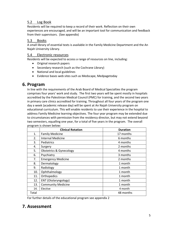# 5.2 Log Book

Residents will be required to keep a record of their work. Reflection on their own experiences are encouraged, and will be an important tool for communication and feedback from their supervisors. (See appendix)

# 5.3 Books

A small library of essential texts is available in the Family Medicine Department and the An Najah University Library.

### 5.4 Electronic resources

Residents will be expected to access a range of resources on line, including:

- Original research papers
- Secondary research (such as the Cochrane Library)
- National and local guidelines
- Evidence bases web sites such as Medscape, Medpagetoday

# **6. Program**

In line with the requirements of the Arab Board of Medical Specialties the program comprises four years' work and study. The first two years will be spent mostly in hospitals accredited by the Palestinian Medical Council (PMC) for training, and the second two years in primary care clinics accredited for training. Throughout all four years of the program one day a week (academic release day) will be spent at An Najah University program on educational curriculum. This will enable residents to use their experience in the hospital to address Family Medicine learning objectives. The four year program may be extended due to circumstances with permission from the residency director, but may not extend beyond two semesters, equalling one year, for a total of five years in the program. The overall program is shown below:

| ັ     | <b>Clinical Rotation</b>           | <b>Duration</b> |
|-------|------------------------------------|-----------------|
| 1.    | <b>Family Medicine</b>             | 17 months       |
| 2.    | <b>Internal Medicine</b>           | 6 months        |
| 3.    | Pediatrics                         | 4 months        |
| 4.    | Surgery                            | 2 months        |
| 5.    | <b>Obstetrics &amp; Gynecology</b> | 4 months        |
| 6.    | Psychiatry                         | 3 months        |
| 7.    | <b>Emergency Medicine</b>          | 2 months        |
| 8.    | Dermatology                        | 1 month         |
| 9.    | Radiology                          | 1 month         |
| 10.   | Ophthalmology                      | 1 month         |
| 11.   | Orthopedics                        | 1 month         |
| 12.   | ENT (Otolaryngology)               | 1 month         |
| 13.   | <b>Community Medicine</b>          | 1 month         |
| 14.   | Elective                           | 4 month         |
| Total |                                    | 48 months       |

For further details of the educational program see appendix 2

# **7. Assessment**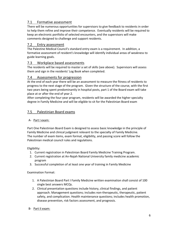# 7.1 Formative assessment

There will be numerous opportunities for supervisors to give feedback to residents in order to help them refine and improve their competence. Eventually residents will be required to keep an electronic portfolio of selected encounters, and the supervisors will make comments designed to challenge and support residents.

### 7.2 Entry assessment

The Palestine Medical Council's standard entry exam is a requirement. In addition, a formative assessment of resident's knowledge will identify individual areas of weakness to guide learning goals.

### 7.3 Workplace based assessments

The residents will be required to master a set of skills (see above). Supervisors will assess them and sign in the residents' Log Book when completed.

### 7.4 Assessments for progression

At the end of each year there will be an assessment to measure the fitness of residents to progress to the next stage of the program. Given the structure of the course, with the first two years being spent predominantly in hospital posts, part 1 of the Board exam will take place at or after the end of year 2.

After completing the four‐year program, residents will be awarded the higher specialty degree in Family Medicine and will be eligible to sit for the Palestinian Board exam

### 7.5 Palestinian Board exams

### A‐ Part I exam:

Part One Palestinian Board Exam is designed to assess basic knowledge in the principle of Family Medicine and clinical judgment relevant to the specialty of Family Medicine. The number of exam items, exam format, eligibility, and passing score will follow the Palestinian medical council rules and regulations.

Eligibility:

- 1. Current registration in Palestinian Board Family Medicine Training Program.
- 2. Current registration at An‐Najah National University family medicine academic program
- 3. Successful completion of at least one year of training in Family Medicine

Examination Format:

- 1. A Palestinian Board Part I Family Medicine written examination shall consist of 100 single best answers MCQs.
- 2. Clinical presentation questions include history, clinical findings, and patient approach. Management questions; includes non‐therapeutic, therapeutic, patient safety, and complication. Health maintenance questions; includes health promotion, disease prevention, risk factors assessment, and prognosis.

### B‐ Part II exam: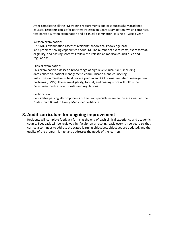After completing all the FM training requirements and pass successfully academic courses, residents can sit for part two Palestinian Board Examination, which comprises two parts: a written examination and a clinical examination. It is held Twice a year.

#### Written examination:

 This MCQ examination assesses residents' theoretical knowledge base and problem‐solving capabilities about FM. The number of exam items, exam format, eligibility, and passing score will follow the Palestinian medical council rules and regulations.

#### Clinical examination:

This examination assesses a broad range of high‐level clinical skills, including data collection, patient management, communication, and counseling skills. The examination is held twice a year, in an OSCE format in‐patient management problems (PMPs). The exam eligibility, format, and passing score will follow the Palestinian medical council rules and regulations.

#### Certification:

Candidates passing all components of the final specialty examination are awarded the "Palestinian Board in Family Medicine" certificate**.** 

# **8. Audit curriculum for ongoing improvement**

Residents will complete feedback forms at the end of each clinical experience and academic course. Feedback will be reviewed by faculty on a rotating basis every three years so that curricula continues to address the stated learning objectives, objectives are updated, and the quality of the program is high and addresses the needs of the learners.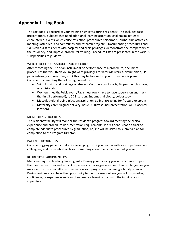# **Appendix 1 ‐ Log Book**

The Log Book is a record of your training highlights during residency. This includes case presentations, subjects that need additional learning attention, challenging patients encountered, events which cause reflection, procedures performed, journal club activities, meetings attended, and community and research project(s). Documenting procedures and skills can assist residents with hospital and clinic privileges, demonstrate the competency of the residency, and improve procedural training. Procedure lists are presented in the various subspecialties to guide you.

#### WHICH PROCEDURES SHOULD YOU RECORD?

After recording the use of an instrument or performance of a procedure, document procedures that you think you might want privileges for later (deliveries, circumcision, LP, paracentesis, joint injections, etc.) This may be tailored to your future career plans. Consider documenting the following procedures:

- Skin: Incision and drainage of abscess, Cryotherapy of warts, Biopsy (punch, shave, or excisional)
- Women's health: Pelvic exam/Pap smear (only have to have supervision and track the first 3 performed), IUCD insertion, Endometrial biopsy, colposcopy
- Musculoskeletal: Joint injection/aspiration, Splinting/casting for fracture or sprain
- Maternity care: Vaginal delivery, Basic OB ultrasound (presentation, AFI, placental location)

#### MONITORING PROGRESS

The residency faculty will monitor the resident's progress toward meeting the clinical experience and procedure documentation requirements. If a resident is not on track to complete adequate procedures by graduation, he/she will be asked to submit a plan for completion to the Program Director.

#### PATIENT ENCOUNTERS

Consider logging patients that are challenging, those you discuss with your supervisors and colleagues, and those who teach you something about medicine or about yourself.

#### RESIDENT'S LEARNING NEEDS

Medicine requires life‐long learning skills. During your training you will encounter topics that need more focus and work. A supervisor or colleague may point this out to you, or you may identify this yourself as you reflect on your progress in becoming a family physician. During residency you have the opportunity to identify areas where you lack knowledge, confidence, or experience and can then create a learning plan with the input of your supervisor.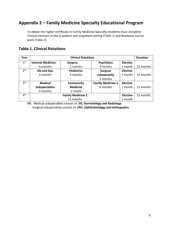# **Appendix 2 – Family Medicine Specialty Educational Program**

To obtain the higher certificate in Family Medicine Specialty residents must complete: Clinical rotations in the in‐patient and outpatient setting (Table 1) and Academic coarse work (Table 2).

# **Table 1. Clinical Rotations**

| Year            | <b>Clinical Rotations</b> |                   |                          |                 | <b>Duration</b> |
|-----------------|---------------------------|-------------------|--------------------------|-----------------|-----------------|
| 1 <sup>st</sup> | <b>Internal Medicine</b>  | Surgery           | Psychiatry               | <b>Elective</b> |                 |
|                 | 6 months                  | 2 months          | 3 months                 | 1 month         | 12 months       |
| 2 <sub>nd</sub> | Ob and Gyn                | <b>Pediatrics</b> | <b>Surgical</b>          | <b>Elective</b> |                 |
|                 | 4 months                  | 4 months          | subspecialty             | 1 month         | 12 months       |
|                 |                           |                   | 3 months                 |                 |                 |
| 3 <sup>rd</sup> | <b>Medical</b>            | <b>Community</b>  | <b>Family Medicine 1</b> | <b>Elective</b> |                 |
|                 | <b>Subspecialties</b>     | <b>Medicine</b>   | 6 months                 | 1 month         | 12 months       |
|                 | 4 months                  | 1 month           |                          |                 |                 |
| 4 <sup>th</sup> | <b>Family Medicine 2</b>  |                   |                          | <b>Elective</b> | 12 months       |
|                 | 11 months                 |                   |                          |                 |                 |

NB. Medical subspecialties consist of: **ER, Dermatology and Radiology** Surgical subspecialties consist of: **ENT, Ophthalmology and Orthopedics**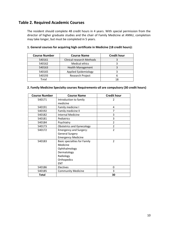# **Table 2. Required Academic Courses**

The resident should complete 48 credit hours in 4 years. With special permission from the director of higher graduate studies and the chair of Family Medicine at ANNU, completion may take longer, but must be completed in 5 years.

| <b>Course Number</b> | <b>Course Name</b>               | <b>Credit hour</b> |
|----------------------|----------------------------------|--------------------|
| 540161               | <b>Clinical research Methods</b> |                    |
| 540162               | <b>Medical ethics</b>            |                    |
| 540163               | <b>Health Management</b>         |                    |
| 540165               | Applied Epidemiology             |                    |
| 540193               | Research Project                 |                    |
| Total                |                                  |                    |

#### **1. General courses for acquiring high certificate in Medicine (18 credit hours):**

#### **2. Family Medicine Specialty courses Requirements‐all are compulsory (30 credit hours)**

| <b>Course Number</b> | <b>Course Name</b>               | <b>Credit hour</b> |
|----------------------|----------------------------------|--------------------|
| 540171               | Introduction to family           | 2                  |
|                      | medicine                         |                    |
| 540191               | Family medicine I                | 4                  |
| 540192               | Family medicine II<br>7          |                    |
| 540182               | <b>Internal Medicine</b>         | 3                  |
| 540181               | Pediatrics                       | 3                  |
| 540184               | Psychiatry                       | $\overline{2}$     |
| 540173               | <b>Obstetrics and Gynecology</b> | $\overline{2}$     |
| 540172               | <b>Emergency and Surgery:</b>    | $\mathfrak{p}$     |
|                      | <b>General Surgery</b>           |                    |
|                      | <b>Emergency Medicine</b>        |                    |
| 540183               | Basic specialties for Family     | $\mathfrak{p}$     |
|                      | Medicine                         |                    |
|                      | Ophthalmology                    |                    |
|                      | Dermatology                      |                    |
|                      | Radiology                        |                    |
|                      | Orthopedics                      |                    |
|                      | <b>ENT</b>                       |                    |
| 540186               | Electives                        | 0                  |
| 540185               | <b>Community Medicine</b>        | 3                  |
| <b>Total</b>         |                                  | 30                 |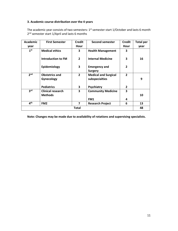### **3. Academic course distribution over the 4 years**

The academic year consists of two semesters: 1<sup>st</sup> semester start 1/October and lasts 6 month 2<sup>nd</sup> semester start 1/April and lasts 6 months

| <b>Academic</b> | <b>First Semester</b>                      | <b>Credit</b>           | <b>Second semester</b>                        | <b>Credit</b>  | <b>Total per</b> |
|-----------------|--------------------------------------------|-------------------------|-----------------------------------------------|----------------|------------------|
| year            |                                            | Hour                    |                                               | Hour           | year             |
| 1 <sup>st</sup> | <b>Medical ethics</b>                      | 3                       | <b>Health Management</b>                      | 3              |                  |
|                 | <b>Introduction to FM</b>                  | $\overline{2}$          | <b>Internal Medicine</b>                      | 3              | 16               |
|                 | Epidemiology                               | 3                       | <b>Emergency and</b><br>Surgery               | $\overline{2}$ |                  |
| 2 <sub>nd</sub> | <b>Obstetrics and</b><br>Gynecology        | $\overline{2}$          | <b>Medical and Surgical</b><br>subspecialties | $\overline{2}$ | 9                |
|                 | <b>Pediatrics</b>                          | 3                       | Psychiatry                                    | $\overline{2}$ |                  |
| 3 <sup>rd</sup> | <b>Clinical research</b><br><b>Methods</b> | $\overline{\mathbf{3}}$ | <b>Community Medicine</b><br>FM1              | 3<br>4         | 10               |
| 4 <sup>th</sup> | FM <sub>2</sub>                            | 7                       | <b>Research Project</b>                       | 6              | 13               |
| Total           |                                            |                         |                                               |                | 48               |

**Note: Changes may be made due to availability of rotations and supervising specialists.**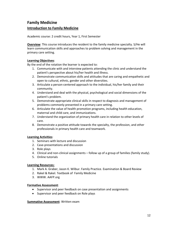# **Family Medicine Introduction to Family Medicine**

Academic course: 2 credit hours, Year 1, First Semester

**Overview**: This course introduces the resident to the family medicine specialty. S/He will learn communication skills and approaches to problem solving and management in the primary care setting.

#### **Learning Objectives**:

By the end of the rotation the learner is expected to:

- 1. Communicate with and interview patients attending the clinic and understand the patient's perspective about his/her health and illness.
- 2. Demonstrate communication skills and attitudes that are caring and empathetic and open to cultural, ethnic, gender and other diversities.
- 3. Articulate a person‐centered approach to the individual, his/her family and their community.
- 4. Understand and deal with the physical, psychological and social dimensions of the patient's problem.
- 5. Demonstrate appropriate clinical skills in respect to diagnosis and management of problems commonly presented in a primary care setting.
- 6. Articulate the value of health promotion programs, including health education, maternal and child care, and immunizations.
- 7. Understand the organization of primary health care in relation to other levels of care.
- 8. Demonstrate a positive attitude towards the specialty, the profession, and other professionals in primary health care and teamwork.

### **Learning Activities**:

- 1. Seminars with lecture and discussion
- 2. Case‐presentations and discussion
- 3. Role plays
- 4. Clinical and non‐clinical assignments follow up of a group of families (family study).
- 5. Online tutorials

#### **Learning Resources:**

- 1. Mark A. Graber, Jason K. Wilbur. Family Practice. Examination & Board Review
- 2. Rakel & Rakel. Textbook of Family Medicine
- 3. WWW. AAFP.org

#### **Formative Assessment**:

- Supervisor and peer feedback on case presentation and assignments
- Supervisor and peer feedback on Role plays

#### **Summative Assessment**: Written exam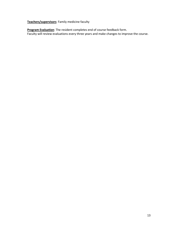**Teachers/supervisors**: Family medicine faculty

**Program Evaluation**: The resident completes end of course feedback form. Faculty will review evaluations every three years and make changes to improve the course.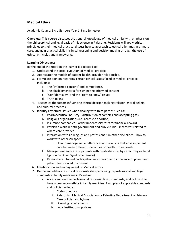# **Medical Ethics**

Academic Course: 3 credit hours Year 1, First Semester

**Overview:** This course discusses the general knowledge of medical ethics with emphasis on the philosophical and legal basis of this science in Palestine. Residents will apply ethical principles to their medical practice, discuss how to approach to ethical dilemmas in primary care, and gain practical skills in clinical reasoning and decision making through the use of ethical principles and frameworks.

#### **Learning Objectives:**

By the end of the rotation the learner is expected to:

- 1. Understand the social evolution of medical practice.
- 2. Appreciate the models of patient‐health provider relationship.
- 3. Formulate opinion regarding certain ethical issues faced in medical practice including:
	- a. The "informed consent" and competence.
	- b. The eligibility criteria for signing the informed consent
	- c. "Confidentiality" and the "right to know" issues
	- d. Truth telling
- 4. Recognize the factors influencing ethical decision making: religion, moral beliefs, and cultural practices
- 5. Identify key ethical issues when dealing with third parties such as:
	- a. Pharmaceutical Industry—distribution of samples and accepting gifts
	- b. Religious organizations (i.e. access to abortion)
	- c. Insurance companies—order unnecessary tests for financial reward
	- d. Physician work in both government and public clinic—incentives related to where care provided
	- e. Interaction with Colleagues and professionals in other disciplines—how to work with others/respect
		- i. How to manage value differences and conflicts that arise in patient care between different specialties or health professionals.
	- f. Management and care of patients with disabilities (i.e. hysterectomy or tubal ligation on Down Syndrome female)
	- g. Researchers—forced participation in studies due to imbalance of power and patient feels forced to consent
- 6. Identification and management of Medical errors
- 7. Define and elaborate ethical responsibilities pertaining to professional and legal standards in family medicine in Palestine
	- a. Access and outline professional responsibilities, standards, and policies that have a bearing on ethics in family medicine. Examples of applicable standards and policies include:
		- i. Codes of ethics
		- ii. Palestinian Medical Association or Palestine Department of Primary Care policies and bylaws
		- iii. Licensing requirements
		- iv. Local institutional policies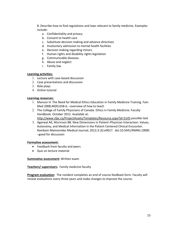8. Describe how to find regulations and laws relevant to family medicine. Examples include:

- a. Confidentiality and privacy
- b. Consent to health care
- c. Substitute decision making and advance directives
- d. Involuntary admission to mental health facilities
- e. Decision making regarding minors
- f. Human rights and disability rights legislation
- g. Communicable diseases
- h. Abuse and neglect
- i. Family law

#### **Learning activities:**

- 1. Lecture with case‐based discussion
- 2. Case presentations and discussion
- 3. Role plays
- 4. Online tutorial

#### **Learning resources:**

- 1. Manson H. The Need for Medical Ethics Education in Family Medicine Training. Fam Med 2008;40(9):658‐6. –overview of how to teach
- 2. The College of Family Physicians of Canada. Ethics in Family Medicine: Faculty Handbook. October 2012. Available at:
	- http://www.cfpc.ca/ProjectAssets/Templates/Resource.aspx?id=5145 possible text
- 3. Agarwal AK, Murinson BB. New Dimensions in Patient–Physician Interaction: Values, Autonomy, and Medical Information in the Patient Centered Clinical Encounter. Rambam Maimonides Medical Journal; 2012;3 (3):e0017. doi:10.5041/RMMJ.10085 –good for discussion

#### **Formative assessment:**

- Feedback from faculty and peers
- Quiz on lecture material

#### **Summative assessment:** Written exam

#### **Teachers/ supervisors:** Family medicine faculty

**Program evaluation:** The resident completes an end of course feedback form. Faculty will review evaluations every three years and make changes to improve the course.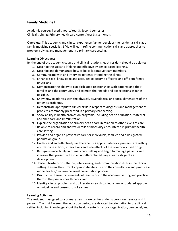# **Family Medicine I**

Academic course: 4 credit hours, Year 3, Second semester Clinical training: Primary health care center, Year 3, six months

**Overview**: This academic and clinical experience further develops the resident's skills as a family medicine specialist. S/He will learn refine communication skills and approaches to problem solving and management in a primary care setting.

#### **Learning Objectives:**

By the end of the academic course and clinical rotations, each resident should be able to:

- 1. Describe the steps to lifelong and effective evidence‐based learning.
- 2. Describe and demonstrate how to be collaborative team members.
- 3. Communicate with and interview patients attending the clinics
- 4. Enhance skills, knowledge and attitudes to become effective and efficient family physicians.
- 5. Demonstrate the ability to establish good relationships with patients and their families and the community and to meet their needs and expectations as far as possible.
- 6. Know how to address with the physical, psychological and social dimensions of the patient's problems.
- 7. Demonstrate appropriate clinical skills in respect to diagnosis and management of problems commonly presented in a primary care setting.
- 8. Show ability in health promotion programs, including health education, maternal and child care and immunization.
- 9. Explain the organization of primary health care in relation to other levels of care.
- 10. Be able to record and analyze details of morbidity encountered in primary health care setting.
- 11. Provide and organize preventive care for individuals, families and a designated population group.
- 12. Understand and effectively use therapeutics appropriate for a primary care setting and describe actions, interactions and side effects of the commonly used drugs.
- 13. Recognize uncertainty in primary care setting and begin to manage patients with illnesses that present with in an undifferentiated way at early stage of its development.
- 14. Perfect his/her consultation, interviewing, and communication skills in the clinical setting. Review the current appropriate literature on the consultation and produce a model for his /her own personal consultation process.
- 15. Discuss the theoretical elements of team work in the academic setting and practice them in the primary health care clinic.
- 16. Identity clinical problem and do literature search to find a new or updated approach or guideline and present to colleagues

#### **Learning Activities**:

The resident is assigned to a primary health care center under supervision (remote and in person). The first 2 weeks, the Induction period, are devoted to orientation to the clinical setting including knowledge about the health center's history, organization, personnel, and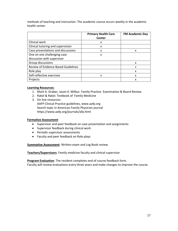methods of teaching and instruction. The academic course occurs weekly in the academic health center.

|                                     | <b>Primary Health Care</b><br>Center | <b>FM Academic Day</b> |
|-------------------------------------|--------------------------------------|------------------------|
| Clinical work                       | x                                    |                        |
| Clinical tutoring and supervision   | x                                    |                        |
| Case presentations and discussions  | x                                    | x                      |
| One on one challenging case         | x                                    |                        |
| discussion with supervisor          |                                      |                        |
| Group discussions                   |                                      | x                      |
| Review of Evidence Based Guidelines |                                      | x                      |
| Role play                           |                                      | X                      |
| Self-reflective exercises           | x                                    | X                      |
| Projects                            |                                      | x                      |

#### **Learning Resources:**

- 1. Mark A. Graber, Jason K. Wilbur. Family Practice. Examination & Board Review
- 2. Rakel & Rakel. Textbook of Family Medicine
- 3. On line resources: AAFP Clinical Practice guidelines, www.aafp.org Search topic in American Family Physician journal https://www.aafp.org/journals/afp.html

#### **Formative Assessment**:

- Supervisor and peer feedback on case presentation and assignments
- Supervisor feedback during clinical work
- Periodic supervisor assessments
- Faculty and peer feedback on Role plays

**Summative Assessment**: Written exam and Log Book review

**Teachers/Supervisors**: Family medicine faculty and clinical supervisor

**Program Evaluation**: The resident completes end of course feedback form. Faculty will review evaluations every three years and make changes to improve the course.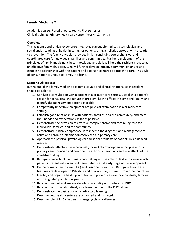### **Family Medicine 2**

Academic course: 7 credit hours, Year 4, First semester; Clinical training: Primary health care center, Year 4, 12 months

#### **Overview**

This academic and clinical experience integrates current biomedical, psychological and social understanding of health in caring for patients using a holistic approach with attention to prevention. The family physician provides initial, continuing comprehensive, and coordinated care for individuals, families and communities. Further development of the principles of family medicine, clinical knowledge and skills will help the resident practice as an effective family physician. S/he will further develop effective communication skills to establish a relationship with the patient and a person‐centered approach to care. This style of consultation is unique to Family Medicine.

#### **Learning Objectives:**

By the end of the family medicine academic course and clinical rotations, each resident should be able to:

- 1. Conduct a consultation with a patient in a primary care setting. Establish a patient's reason for consulting, the nature of problem, how it affects life style and family, and identify the management options available.
- 2. Competently undertake an appropriate physical examination in a primary care setting.
- 3. Establish good relationships with patients, families, and the community, and meet their needs and expectations as far as possible.
- 4. Demonstrate the provision of effective comprehensive and continuing care for individuals, families, and the community.
- 5. Demonstrate clinical competence in respect to the diagnosis and management of acute and chronic problems commonly seen in primary care.
- 6. Approach the physical, psychological and social problems of patients in a balanced manner.
- 7. Demonstrate effective use a personal (pocket) pharmacopoeia appropriate for a primary care physician and describe the actions, interactions and side effects of the constituent drugs.
- 8. Recognize uncertainty in primary care setting and be able to deal with illness which patients present with in an undifferentiated way at early stage of its development.
- 9. Define primary health care (PHC) and describe its features. Recognize how these features are developed in Palestine and how are they different from other countries.
- 10. Identify and organize health promotion and preventive care for individuals, families and designated population groups.
- 11. Be able to record and analyze details of morbidity encountered in PHC
- 12. Be able to work collaboratively as a team member in the PHC setting.
- 13. Demonstrate the basic skills of self-directed learning.
- 14. Describe how health centers are organized and managed.
- 15. Describe role of PHC clinician in managing chronic diseases.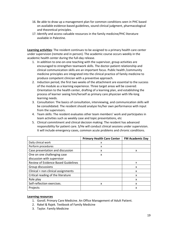- 16. Be able to draw up a management plan for common conditions seen in PHC based on available evidence‐based guidelines, sound clinical judgment, pharmacological and theoretical principles.
- 17. Identify and access valuable resources in the family medicine/PHC literature available in Palestine.

**Learning activities**: The resident continues to be assigned to a primary health care center under supervision (remote and in person). The academic course occurs weekly in the academic health center during the full‐day release.

- 1. In addition to one‐on‐one teaching with the supervisor, group activities are encouraged to strengthen teamwork skills. The doctor‐patient relationship and clinical communication skills are an important focus. Public health /community medicine principles are integrated into the clinical practice of family medicine to produce competent clinician with a preventive approach.
- 2. Induction period, the first two weeks of the attachment are essential to the success of the module as a learning experience. Three target areas will be covered: Orientation to the health center, drafting of a learning plan, and establishing the process of learner seeing him/herself as primary care physician with life‐long learning needs.
- 3. Consultation: The basics of consultation, interviewing, and communication skills will be consolidated. The resident should analyze his/her own performance with input from the supervisors.
- 4. Team skills: The resident evaluates other team members' work and participates in team activities such as weekly case and topic presentations, etc
- 5. Clinical commitment and clinical decision making: The resident has advanced responsibility for patient care. S/He will conduct clinical sessions under supervision. It will include emergency cases, common acute problems and chronic conditions.

|                                            | <b>Primary Health Care Center</b> | <b>FM Academic Day</b> |
|--------------------------------------------|-----------------------------------|------------------------|
| Daily clinical work                        | x                                 |                        |
| Perform procedures                         | x                                 |                        |
| Case presentation and discussion           | X                                 | x                      |
| One on one challenging case                | X                                 |                        |
| discussion with supervisor                 |                                   |                        |
| <b>Review of Evidence Based Guidelines</b> |                                   | X                      |
| Group discussions                          |                                   | X                      |
| Clinical + non clinical assignments        |                                   | X                      |
| Critical reading of the literature         |                                   | X                      |
| Role play                                  |                                   | X                      |
| Self-reflection exercises.                 | x                                 | x                      |
| Projects                                   |                                   | x                      |

#### **Learning resources**

- 1. Goroll. Primary Care Medicine. An Office Management of Adult Patient.
- 2. Rakel & Rajek. Textbook of Family Medicine
- 3. Taylor. Family Medicine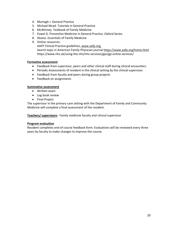- 4. Murtagh J. General Practice
- 5. Michael Mcad. Tutorials in General Practice.
- 6. McWinney. Textbook of Family Medicine
- 7. Fowel G. Preventive Medicine in General Practice. Oxford Series.
- 8. Sloane. Essentials of Family Medicine
- 9. Online resources: AAFP Clinical Practice guidelines, www.aafp.org, Search topic in American Family Physician journal https://www.aafp.org/home.html https://www.nhs.uk/using‐the‐nhs/nhs‐services/gps/gp‐online‐services/

#### **Formative assessment**

- Feedback from supervisor, peers and other clinical staff during clinical encounters.
- Periodic Assessments of resident in the clinical setting by the clinical supervisor.
- Feedback from faculty and peers during group projects
- Feedback on assignments

#### **Summative assessment**

- Written exam
- Log book review
- Final Project

The supervisor in the primary care setting with the Department of Family and Community Medicine will complete a final assessment of the resident.

**Teachers/ supervisors:**  Family medicine faculty and clinical supervisor

#### **Program evaluation**

Resident completes end of course feedback form. Evaluations will be reviewed every three years by faculty to make changes to improve the course.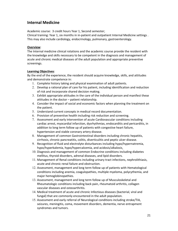# **Internal Medicine**

Academic course: 3 credit hours Year 1, Second semester;

Clinical training: Year 1, six months in in‐patient and outpatient Internal Medicine settings . This may also include cardiology, endocrinology, pulmonary, gastroenterology.

#### **Overview**:

The Internal medicine clinical rotations and the academic course provide the resident with the knowledge and skills necessary to be competent in the diagnosis and management of acute and chronic medical diseases of the adult population and appropriate preventive screenings.

#### **Learning Objectives**:

By the end of the experience, the resident should acquire knowledge, skills, and attitudes and demonstrate competence in:

- 1. Complete history taking and physical examination of adult patients.
- 2. Develop a rational plan of care for his patient, including identification and reduction of risk and incorporate shared decision making.
- 3. Exhibit appropriate attitudes in the care of the individual person and manifest these attitudes in the doctor – patient relationship.
- 4. Consider the impact of social and economic factors when planning the treatment on the patient.
- 5. Understand current concepts in medical record documentation.
- 6. Provision of preventive health including risk reduction and screening.
- 7. Assessment and early intervention of acute Cardiovascular conditions including cardiac arrest, myocardial infarction, dysrhythmias, endocarditis and pericarditis, in addition to long term follow up of patients with congestive heart failure, hypertension and stable coronary artery disease.
- 8. Management of common Gastrointestinal disorders including chronic hepatitis, cirrhosis, chronic pancreatitis, colitis, diverticulitis and peptic ulcer disease.
- 9. Recognition of fluid and electrolyte disturbances including hypo/hypernatremia, hypo/hyperkalemia, hypo/hypercalcemia, and acidosis/alkalosis.
- 10. Diagnosis and management of common Endocrine conditions including diabetes mellitus, thyroid disorders, adrenal diseases, and lipid disorders.
- 11. Management of Renal conditions including urinary tract infections, nephrolithiasis, acute and chronic renal failure and obstruction.
- 12. Assessment, management and long term follow up of patients with Hematological conditions including anemia, coagulopathies, multiple myeloma, polycythemia, and major hemoglobinopathies.
- 13. Assessment, management and long term follow up of Musculoskeletal and Rheumatologic conditions including back pain, rheumatoid arthritis, collagen vascular diseases and osteoarthritis.
- 14. Medical treatment of acute and chronic Infectious diseases (bacterial, viral and fungal) that are commonly encountered in the adult population.
- 15. Assessment and early referral of Neurological conditions including stroke/TIA, seizures, meningitis, coma, movement disorders, dementia, nerve entrapment syndromes and tumors.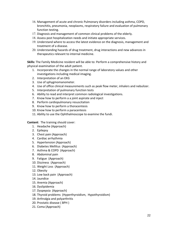- 16. Management of acute and chronic Pulmonary disorders including asthma, COPD, bronchitis, pneumonia, neoplasms, respiratory failure and evaluation of pulmonary function testing.
- 17. Diagnosis and management of common clinical problems of the elderly.
- 18. Assess post hospitalization needs and initiate appropriate services.
- 19. Understand where to access the latest evidence on the diagnosis, management and treatment of a disease.
- 20. Understanding hazards of drug treatment, drug interactions and new advances in therapeutics relevant to internal medicine.

**Skills:** The Family Medicine resident will be able to: Perform a comprehensive history and physical examination of the adult patient.

- 1. Incorporate the changes in the normal range of laboratory values and other investigations including medical imaging.
- 2. Interpretation of an EKG
- 3. Use of sphygmomanometer.
- 4. Use of office clinical measurements such as peak flow meter, inhalers and nebulizer.
- 5. Interpretation of pulmonary function tests
- 6. Ability to read and interpret common radiological investigations.
- 7. Know how to perform a a joint aspirate and inject
- 8. Perform cardiopulmonary resuscitation
- 9. Know how to perform a thoracentesis
- 10. Know how to perform a paracentesis
- 11. Ability to use the Ophthalmoscope to examine the fundi.

#### **Content**: The training should cover:

- 1. Headache (Approach)
- 2. Epilepsy
- 3. Chest pain (Approach)
- 4. Cardiac arrhythmia
- 5. Hypertension (Approach)
- 6. Diabetes Mellitus (Approach)
- 7. Asthma & COPD (Approach)
- 8. Abdominal pain
- 9. Fatigue (Approach)
- 10. Dizziness (Approach)
- 11. Weight Loss (Approach)
- 12. Obesity
- 13. Low back pain (Approach)
- 14. Jaundice
- 15. Anemia (Approach)
- 16. Dyslipidemia
- 17. Dyspepsia (Approach)
- 18. Thyroid problems (Hyperthyroidism, Hypothyroidism)
- 19. Arthralgia and polyarthritis
- 20. Prostatic disease ( BPH )
- 21. Coma (Approach)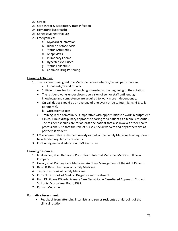- 22. Stroke
- 23. Sore throat & Respiratory tract infection
- 24. Hematuria (Approach)
- 25. Congestive heart failure
- 26. Emergencies:
	- a. Myocardial Infarction
	- b. Diabetic Ketoacidosis
	- c. Status Asthmatics
	- d. Anaphylaxis
	- e. Pulmonary Edema
	- f. Hypertensive Crises
	- g. Status Epilepticus
	- h. Common Drug Poisoning

#### **Learning Activities:**

- 1. The resident is assigned to a Medicine Service where s/he will participate in: a. In‐patients/Grand rounds
	- Sufficient time for formal teaching is needed at the beginning of the rotation.
	- The resident works under close supervision of senior staff until enough knowledge and competence are acquired to work more independently.
	- On-call duties should be an average of one every three to four nights (6-8 calls per month).
		- b. Outpatient clinics
	- Training in the community is imperative with opportunities to work in outpatient clinics. A multidisciplinary approach to caring for a patient as a team is essential. The resident should care for at least one patient that also involves other health professionals, so that the role of nurses, social workers and physiotherapist as partners if evident.
- 2. FM academic release day held weekly as part of the Family Medicine training should be attended regularly by residents.
- 3. Continuing medical education (CME) activities.

### **Learning Resources**:

- 1. Isselbacher, et al. Harrison's Principles of Internal Medicine. McGraw Hill Book Company.
- 2. Goroll, et al. Primary Care Medicine. An office Management of the Adult Patient.
- 3. Rakel & Rakel. Textbook of Family Medicine
- 4. Taylor. Textbook of Family Medicine.
- 5. Current Textbook of Medical Diagnosis and Treatment.
- 6. Ham RJ, Sloane PD, eds. Primary Care Geriatrics: A Case‐Based Approach. 2nd ed. St. Louis: Mosby Year Book, 1992.
- 7. Kumar. Medicine

#### **Formative Assessment:**

 Feedback from attending internists and senior residents at mid‐point of the clinical rotation.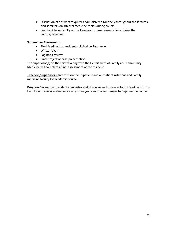- Discussion of answers to quizzes administered routinely throughout the lectures and seminars on internal medicine topics during course
- Feedback from faculty and colleagues on case presentations during the lecture/seminars.

#### **Summative Assessment:**

- Final feedback on resident's clinical performance.
- Written exam
- Log Book review
- Final project or case presentation.

The supervisor(s) on the service along with the Department of Family and Community Medicine will complete a final assessment of the resident.

**Teachers/Supervisors:** Internist on the in‐patient and outpatient rotations and Family medicine faculty for academic course.

**Program Evaluation**: Resident completes end of course and clinical rotation feedback forms. Faculty will review evaluations every three years and make changes to improve the course.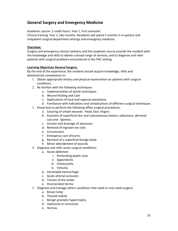# **General Surgery and Emergency Medicine**

Academic course: 2 credit hours, Year 1, First semester;

Clinical training: Year 1, two months. Residents will spend 2 months in in‐patient and outpatient surgical department settings and emergency medicine.

#### **Overview:**

Surgery and emergency clinical rotations and the academic course provide the resident with the knowledge and skills to deliver a broad range of services, and to diagnose and refer patients with surgical problems encountered in the PHC setting.

#### **Learning Objectives General Surgery:**

By the end of the experience, the resident should acquire knowledge, skills and demonstrate competence in:

- 1. Obtain appropriate history and physical examination on patients with surgical conditions.
- 2. Be familiar with the following techniques:
	- a. Implementation of sterile techniques
	- b. Wound Healing and Care
	- c. Applications of local and regional anesthesia
	- d. Familiarize with indications and complications of different surgical techniques
- 3. Know how to perform the following office surgical procedures:
	- a. Suturing of simple wounds: Head, face, fingers
	- b. Excisions of superficial skin and subcutaneous lesions: sebaceous, dermoid cyst and lipomas.
	- c. Incision and drainage of abscesses
	- d. Removal of ingrown toe nails
	- e. Circumcision
	- f. Emergency care of burns
	- g. Removal of a superficial foreign body.
	- h. Minor debridement of wounds
- 4. Diagnose and refer acute surgical conditions:
	- a. Acute abdomen:
		- i. Perforating peptic ulcer
		- ii. Appendicitis
		- iii. Cholecystitis
		- iv. Volvulus
	- b. Intractable hemorrhage
	- c. Acute arterial occlusion
	- d. Torsion of the testes
	- e. Incarcerated hernia
- 5. Diagnose and manage others conditions that need or may need surgery:
	- a. Breast lump
	- b. Thyroid nodule
	- c. Benign prostatic hypertrophy
	- d. Hydrocele or varicocele
	- e. Hernias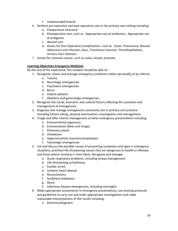- f. Undescended testicle
- 6. Perform pre‐operative and post‐operative care in the primary care setting including:
	- a. Preoperative clearance
	- b. Postoperative care, such as : Appropriate use of antibiotics, Appropriate use of analgesics
	- c. Wound care
	- d. Assess for Post‐Operative Complications such as : Fever, Pneumonia, Wound dehiscence and infection, Ileus, Transfusion reaction, Thrombophlebitis, Urinary tract infection
- 7. Screen for common cancer, such as colon, breast, prostate.

#### **Learning Objectives Emergency Medicine:**

By the end of the experience, the resident should be able to:

- 1. Recognize, assess and manage emergency conditions either personally or by referral
	- a. Trauma
	- b. Neurologic emergencies
	- c. Psychiatric emergencies
	- d. Burns
	- e. Violent patients
	- f. Obstetric and gynecologic emergencies
- 2. Recognize the social, economic and cultural factors affecting the causation and management of emergencies.
- 3. Diagnose and manage emergencies commonly met in primary care practice including history taking, physical examination, investigation and management.
- 4. Triage and offer interim management of other emergency presentations including
	- a. Environmental exposures
	- b. Envenomation (bites and stings)
	- c. Poisonous plants
	- d. Inhalations
	- e. Hypersensitivity reactions/anaphylaxis
	- f. Toxicologic emergencies
- 5. List and discuss the possible causes of presenting symptoms and signs in emergency situations, prioritize life threatening causes that are dangerous to health or lifestyle, and those where recovery is more likely. Recognize and manage:
	- a. Acute respiratory problems, including airway management
	- b. Life‐threatening arrhythmias
	- c. Cardiac arrest
	- d. Ischemic heart disease
	- e. Resuscitations
	- f. Acid/base imbalance
	- g. Shock
	- h. Infectious disease emergencies, including meningitis
- 6. Make appropriate assessments in emergency presentations, use existing protocols and guidelines to carry out and order appropriate investigations and make reasonable interpretations of the results including:
	- a. Electrocardiograms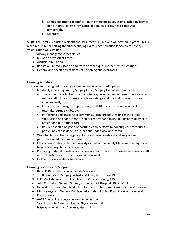- b. Roentgenographic identification of emergencies situations, including cervical spine injuries, chest x‐ray, acute abdominal series, head computed tomography
- c. Monitors

**Skills**: The Family Medicine resident should successfully BLS and ACLS within 3 years. This is a pre-requisite for setting the final certifying exam. Recertification is completed every 2 years. Other skills include:

- 1. Airway management techniques
- 2. Initiation of vascular access
- 3. Artificial circulation
- 4. Reduction, immobilization and traction techniques in fractures/dislocations
- 5. General and specific treatments of poisoning and overdoses

#### **Learning activities:**

The resident is assigned to a surgical unit where s/he will participate in:

- 1. Inpatient/ Operating Room/ Surgery Clinic/ Surgery Department Activities
	- The resident is attached to a unit where s/he works under close supervision by senior staff till he acquires enough knowledge and the ability to work more independently.
	- Participation in surgical departmental activities, such as grand rounds, lectures, tutorials, journals clubs, etc.
	- Performing and assisting in common surgical procedures under the direct supervision of a consultant or senior registrar and taking full responsibility at in‐ patient and out‐patient care.
	- Resident should be given opportunities to perform minor surgical procedures, particularly those done in out‐patient under local anesthesia.
- 2. Work full time in the Emergency Unit for internal medicine and surgery and participate in educational activities.
- 3. FM academic release day held weekly as part of the Family Medicine training should be attended regularly by residents.
- 4. Preparing material of relevance to primary health care to discussed with senior staff and presented in a form of tutorial once a week.
- 5. Online tutorials as described above

#### **Learning resources for Surgery:**

- 1. Rakel & Rakel. Textbook of Family Medicine
- 2. J.S. Brown. Minor Surgery, A Test and Atlas, last Edition 1993
- 3. G.R. MacLatchie. Oxford Handbook of Clinical surgery, 1990.
- 4. John Cook et al. General Surgery at the District Hospital, 1988. WHO.
- 5. Normal L. Browse. An Introduction to the Symptoms and Signs of Surgical Diseases
- 6. Minor surgery in General Practice. Information Folder. Royal College of General **Practitioners**
- 7. AAFP Clinical Practice guidelines, www.aafp.org Search topic in American Family Physician journal https://www.aafp.org/journals/afp.html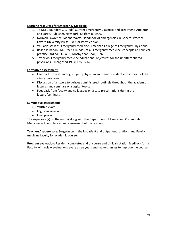#### **Learning resources for Emergency Medicine**:

- 1. To M.T., Saunders C.E. (eds) Current Emergency Diagnosis and Treatment. Appleton and Large, Publisher. New York, California, 1990.
- 2. Norman Lawrence, Joanna Watts. Handbook of emergencies in General Practice. Oxford University Press 1989 (or latest edition).
- 3. W. Earle, Wilkins. Emergency Medicine. American College of Emergency Physicians.
- 4. Rosen P, Barkin RM, Braen GR, eds., et al. Emergency medicine: concepts and clinical practice. 3rd ed. St. Louis: Mosby Year Book, 1992.
- 5. Taylor AS. Emergency medicine educational objectives for the undifferentiated physicians. Emerg Med 1994; 12:255‐62.

#### **Formative assessment:**

- Feedback from attending surgeon/physician and senior resident at mid‐point of the clinical rotations.
- Discussion of answers to quizzes administered routinely throughout the academic lectures and seminars on surgical topics
- Feedback from faculty and colleagues on a case presentations during the lecture/seminars.

#### **Summative assessment:**

- Written exam
- Log Book review
- Final project

The supervisor(s) on the unit(s) along with the Department of Family and Community Medicine will complete a final assessment of the resident**.** 

**Teachers/ supervisors:** Surgeon on in the in-patient and outpatient rotations and Family medicine faculty for academic course.

**Program evaluation:** Resident completes end of course and clinical rotation feedback forms. Faculty will review evaluations every three years and make changes to improve the course.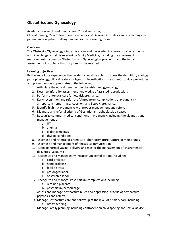# **Obstetrics and Gynecology**

Academic course: 2 credit hours, Year 2, First semester;

Clinical training: Year 2, four months in Labor and Delivery, Obstetrics and Gynecology in‐ patient and outpatient settings, as well as the operating room.

#### **Overview:**

The Obstetrics/Gynecology clinical rotations and the academic course provide residents with knowledge and skills relevant to Family Medicine, including the assessment management of common Obstetrical and Gynecological problems, and the initial assessment of problems that may need to be referred.

#### **Learning objectives:**

By the end of the experience, the resident should be able to discuss the definition, etiology, pathophysiology, clinical features, diagnosis, investigations, treatment, surgical procedures and prevention (as appropriate) of the following:

- 1. Articulate the ethical issues within obstetrics and gynecology
- 2. Describe infertility assessment, knowledge of assisted reproduction.
- 3. Perform antenatal care for low risk pregnancy.
- 4. Early recognition and referral of Antepartum complications of pregnancy antepartum hemorrhage, Abortion, and Ectopic pregnancy.
- 5. Identify high risk pregnancy; with proper management and referral.
- 6. Diagnose and referral criteria of Gestational trophoblastic diseases
- 7. Recognize common medical conditions in pregnancy, including the diagnosis and management of:
	- a. UTI,
	- b. anemia,
	- c. diabetic mellitus
	- d. thyroid conditions
- 8. Diagnose and referral of premature labor, premature rupture of membranes
- 9. Diagnose and management of Rhesus isoimmunization
- 10. Manage normal vaginal delivery and master the management of instrumental deliveries (vacuum )
- 11. Recognize and manage early Intrapartum complications including:
	- a. cord prolapse
	- b. hand prolapse
	- c. fetal distress
	- d. prolonged labor
	- e. obstructed labor
- 12. Recognize and manage Post-partum complications including:
	- a. retained placenta
	- b. postpartum hemorrhage
- 13. Assess and manage postpartum blues and depression, criteria of postpartum psychosis and referral
- 14. Manage Postpartum care and follow up at the level of primary care including:
	- a. Breast feeding,
- 15. Manage Family planning including contraception child spacing and sexual advice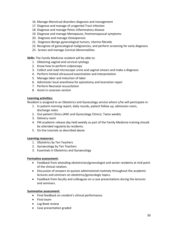- 16. Manage Menstrual disorders diagnosis and management
- 17. Diagnose and manage of urogenital Tract Infection
- 18. Diagnose and manage Pelvic inflammatory disease
- 19. Diagnose and manage Menopause, Postmenopausal symptoms
- 20. Diagnose and manage Osteoporosis
- 21. Diagnosis Benign gynecological tumors, Uterine fibroids
- 22. Recognize of gynecological malignancies, and perform screening for early diagnosis
- 23. Screen and manage Cervical Abnormalities

**Skills:** The Family Medicine resident will be able to:

- 1. Obtaining vaginal and cervical cytology
- 2. Know how to perform colposcopy
- 3. Collect and read microscopic urine and vaginal smears and make a diagnosis
- 4. Perform limited ultrasound examination and interpretation
- 5. Manage labor and induction of labor
- 6. Administer local anesthesia for episiotomy and laceration repair
- 7. Perform Neonatal resuscitation
- 8. Assist in cesarean section

#### **Learning activities:**

Resident is assigned to an Obstetrics and Gynecology service where s/he will participate in:

- 1. In patient morning report, daily rounds, patient follow up, admission room, discharge notes
- 2. Out‐patient Clinics (ANC and Gynecology Clinics). Twice weekly
- 3. Delivery room
- 4. FM academic release day held weekly as part of the Family Medicine training should be attended regularly by residents.
- 5. On line tutorials as described above

#### **Learning resources:**

- 1. Obstetrics by Ten Teachers
- 2. Gynaecology by Ten Teachers
- 3. Essentials in Obstetrics and Gynaecology

#### **Formative assessment:**

- Feedback from attending obstetrician/gynecologist and senior residents at mid‐point of the clinical rotation.
- Discussion of answers to quizzes administered routinely throughout the academic lectures and seminars on obstetrics/gynecologic topics.
- Feedback from faculty and colleagues on a case presentations during the lectures and seminars.

#### **Summative assessment:**

- Final feedback on resident's clinical performance.
- Final exam
- Log Book review
- Case presentation graded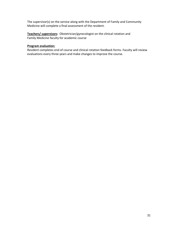The supervisor(s) on the service along with the Department of Family and Community Medicine will complete a final assessment of the resident.

Teachers/ supervisors: Obstetrician/gynecologist on the clinical rotation and Family Medicine faculty for academic course

#### **Program evaluation:**

Resident completes end of course and clinical rotation feedback forms. Faculty will review evaluations every three years and make changes to improve the course.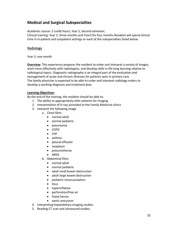# **Medical and Surgical Subspecialties**

Academic course: 2 credit hours, Year 2, Second semester; Clinical training: Year 2, three months and Year3 for four months Resident will spend clinical time in in‐patient and outpatient settings or each of the subspecialties listed below.

# Radiology

Year 3, one month

**Overview**: This experience prepares the resident to order and interpret a variety of images, work more effectively with radiologists, and develop skills in life-long learning relative to radiological topics. Diagnostic radiography is an integral part of the evaluation and management of acute and chronic illnesses for patients seen in primary care. The family physician is expected to be able to order and interpret radiology orders to develop a working diagnosis and treatment plan.

#### **Learning Objectives**:

By the end of the training, the resident should be able to:

- 1. The ability to appropriately refer patients for imaging
- 2. Interpretation of X‐rays provided at the Family Medicine clinics
- 3. Interpret the following image
	- a. Chest films
		- normal adult
		- normal pediatric
		- pneumonia
		- COPD
		- CHF
		- asthma
		- pleural effusion
		- neoplasm
		- pneumothorax
		- ARDS
	- b. Abdominal films
		- normal adult
		- normal pediatric
		- adult small bowel obstruction
		- adult large bowel obstruction
		- pediatric intussusception
		- ileus
		- hyperinflation
		- perforation/free air
		- hiatal hernia
		- aortic aneurysm
- 4. Interpreting hepatobiliary imaging studies.
- 5. Reading CT scan and ultrasound studies.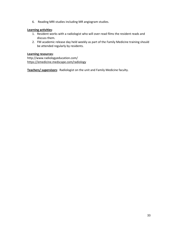6. Reading MRI studies including MR angiogram studies.

#### **Learning activities**:

- 1. Resident works with a radiologist who will over‐read films the resident reads and discuss them.
- 2. FM academic release day held weekly as part of the Family Medicine training should be attended regularly by residents.

#### **Learning resources**:

http://www.radiologyeducation.com/ https://emedicine.medscape.com/radiology

**Teachers/ supervisors**: Radiologist on the unit and Family Medicine faculty.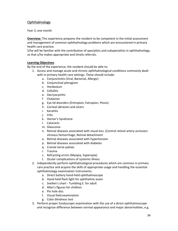# **Ophthalmology**

Year 3, one month

**Overview:** This experience prepares the resident to be competent in the initial assessment and management of common ophthalmology problems which are encountered in primary health care practice.

S/he will be familiar with the contribution of specialists and subspecialists in ophthalmology, so that s/he makes appropriate and timely referrals.

### **Learning Objectives**:

By the end of the experience, the resident should be able to:

- 1. Access and manage acute and chronic ophthalmological conditions commonly dealt with in primary health care settings. These should include:
	- a. Conjunctivitis (Viral, Bacterial, Allergic)
	- b. Conjunctival pterygium
	- c. Hordeolum
	- d. Cellulitis
	- e. Dacryocystitis
	- f. Chalazion
	- g. Eye lid disorders (Entropion, Extropion, Ptosis)
	- h. Corneal abrasion and ulcers
	- i. Keratitis
	- j. Iritis
	- k. Horner's Syndrome
	- l. Cataracts
	- m. Glaucoma
	- n. Retinal diseases associated with visual loss (Control retinol artery occlusion vitreous hemorrhage, Retinal detachment
	- o. Retinal diseases associated with hypertension
	- p. Retinal diseases associated with diabetes
	- q. Cranial nerve palsies
	- r. Trauma
	- s. Refracting errors (Myopia, hyperopia)
	- t. Ocular complications of systemic illness
- 2. Independently perform ophthalmological procedures which are common in primary care practice and acquire the skills of appropriate usage and handling the essential ophthalmology examination instruments:
	- a. Direct battery hand‐held ophthalmoscope
	- b. Hand‐held flash light for ophthalmic exam
	- c. Snellen's chart ‐ Tumbling E. for adult
	- d. Allen's figures for children
	- e. Pin hole disc
	- f. Visual field examination
	- g. Color blindness test
- 3. Perform proper funduscopic examination with the use of a direct ophthalmoscope and recognize difference between normal appearance and major abnormalities, e.g.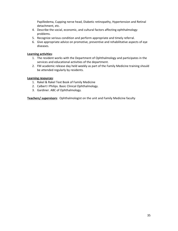Papilledema, Cupping nerve head, Diabetic retinopathy, Hypertension and Retinal detachment, etc.

- 4. Describe the social, economic, and cultural factors affecting ophthalmology problems.
- 5. Recognize serious condition and perform appropriate and timely referral.
- 6. Give appropriate advice on promotive, preventive and rehabilitative aspects of eye diseases.

#### **Learning activities**:

- 1. The resident works with the Department of Ophthalmology and participates in the services and educational activities of the department.
- 2. FM academic release day held weekly as part of the Family Medicine training should be attended regularly by residents.

#### **Learning resources**:

- 1. Rakel & Rakel Text Book of Family Medicine
- 2. Calbert I Philips. Basic Clinical Ophthalmology.
- 3. Gardiner. ABC of Ophthalmology.

**Teachers/ supervisors**: Ophthalmologist on the unit and Family Medicine faculty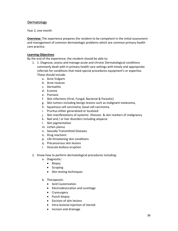# Dermatology

Year 2, one month

**Overview:** The experience prepares the resident to be competent in the initial assessment and management of common dermatologic problems which are common primary health care practice.

#### **Learning Objectives**:

By the end of the experience, the resident should be able to:

- 1. 1. Diagnose, assess and manage acute and chronic Dermatological conditions commonly dealt with in primary health care settings with timely and appropriate referrals for conditions that need special procedures equipment's or expertise. These should include:
	- a. Acne Vulgaris
	- b. Acne rosacea
	- c. Dermatitis
	- d. Eczema
	- e. Psoriasis
	- f. Skin infections (Viral, Fungal, Bacterial & Parasitic)
	- g. Skin tumors including benign lesions such as malignant melanoma,
	- h. Squamous cell carcinoma, basal cell carcinoma.
	- i. Pruritus either generalized or localized
	- j. Skin manifestations of systemic illnesses & skin markers of malignancy
	- k. Nail and / or hair disorders including alopecia
	- l. Skin pigmentation
	- m. Lichen planus
	- n. Sexually Transmitted Diseases
	- o. Drug reactions
	- p. Life threatening skin conditions
	- q. Precancerous skin lesions
	- r. Vesiculo‐bullous eruption
- 2. Know how to perform dermatological procedures including:
	- a. Diagnostic:
		- Biopsy
		- Scraping
		- Skin testing techniques
	- b. Therapeutic:
		- Acid Cauterization
		- Electrodesiccation and curettage
		- Cryosurgery
		- Punch biopsy
		- Excision of skin lesions
		- Intra-lesional injection of steroid
		- Incision and drainage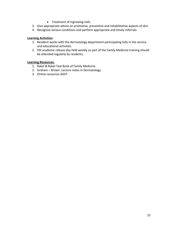- Treatment of ingrowing nails
- 3. Give appropriate advice on promotive, preventive and rehabilitative aspects of skin
- 4. Recognize serious conditions and perform appropriate and timely referrals.

#### **Learning Activities:**

- 1. Resident works with the dermatology department participating fully in the service and educational activities.
- 2. FM academic release day held weekly as part of the Family Medicine training should be attended regularly by residents.

#### **Learning Resources:**

- 1. Rakel & Rakel Text Book of Family Medicine
- 2. Graham Brown. Lecture notes in Dermatology.
- 3. Online resources AAFP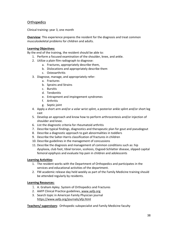# **Orthopedics**

Clinical training: year 3, one month

**Overview**: This experience prepares the resident for the diagnosis and treat common musculoskeletal problems for children and adults.

#### **Learning Objectives:**

By the end of the training, the resident should be able to:

- 1. Perform a focused examination of the shoulder, knee, and ankle.
	- 2. Utilize a plain film radiograph to diagnose:
		- a. Fractures, appropriately describe them,
		- b. Dislocations and appropriately describe them
		- c. Osteoarthritis
	- 3. Diagnose, manage, and appropriately refer:
		- a. Fractures
		- b. Sprains and Strains
		- c. Bursitis
		- d. Tendonitis
		- e. Entrapment and impingement syndromes
		- f. Arthritis
		- g. Septic joint
	- 4. Apply a short arm and/or a volar wrist splint, a posterior ankle splint and/or short leg cast
	- 5. Develop an approach and know how to perform arthrocentesis and/or injection of shoulder and knee.
	- 6. List the diagnostic criteria for rheumatoid arthritis
	- 7. Describe typical findings, diagnostics and therapeutic plan for gout and pseudogout
	- 8. Describe a diagnostic approach to gait abnormalities in toddlers
	- 9. Describe the Salter-Harris classification of fractures in children
	- 10. Describe guidelines in the management of concussions
	- 11. Describe the diagnosis and management of common conditions such as: hip dysplasia, club foot, tibial torsion, scoliosis, Osgood‐Schlatter disease, slipped capital femoral epiphysis and evaluate hip pain in children and adolescents

#### **Learning Activities**:

- 1. The resident works with the Department of Orthopedics and participates in the services and educational activities of the department.
- 2. FM academic release day held weekly as part of the Family Medicine training should be attended regularly by residents.

#### **Learning Resources:**

- 1. A. Graham Apley. System of Orthopedics and Fractures
- 2. AAFP Clinical Practice guidelines, www.aafp.org
- 3. Search topic in American Family Physician journal https://www.aafp.org/journals/afp.html

**Teachers/ supervisors**: Orthopedic subspecialist and Family Medicine faculty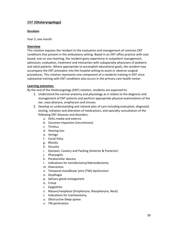# ENT **(Otolaryngology)**

#### **Duration**

Year 3, one month

#### **Overview**

This rotation exposes the resident to the evaluation and management of common ENT conditions that present in the ambulatory setting. Based in an ENT office practice with case based, one on one teaching, the resident gains experience in outpatient management, admission, evaluation, treatment and interaction with subspecialty physicians of pediatric and adult patients. Where appropriate to accomplish educational goals, the resident may accompany the ENT preceptor into the hospital setting to assist or observe surgical procedures. This rotation represents one component of a residents training in ENT since substantial training with ENT conditions also occurs in the primary care health center.

#### **Learning outcomes:**

By the end of the Otolaryngology (ENT) rotation, residents are expected to:

- 1. Understand the normal anatomy and physiology as it relates to the diagnosis and management of ENT patients and perform appropriate physical examinations of the ear, naso‐pharynx, oropharynx and sinuses.
- 2. Develop an understanding and rational plan of care including evaluation, diagnostic testing, initiation and alteration of medications, and specialty consultation of the following ENT diseases and disorders:
	- a. Otitis media and externa
	- b. Cerumen impaction (ceruminosis)
	- c. Tinnitus
	- d. Hearing loss
	- e. Vertigo
	- f. Facial Palsy
	- g. Rhinitis
	- h. Sinusitis
	- i. Epistaxis: Cautery and Packing (Anterior & Posterior)
	- j. Pharyngitis
	- k. Paratonsillar abscess
	- l. Indications for tonsillectomy/Adenoidectomy
	- m. Hoarseness
	- n. Temporal‐mandibular joint (TMJ) dysfunction
	- o. Dysphagia
	- p. Salivary gland enlargement
	- q. Croup
	- r. Epiglottitis
	- s. Masses/neoplasia (Oropharynx, Nasopharynx, Neck)
	- t. Indications for tracheostomy
	- u. Obstructive Sleep apnea
	- v. TM perforation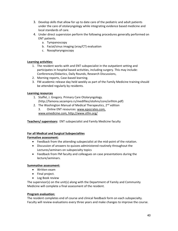- 3. Develop skills that allow for up to date care of the pediatric and adult patients under the care of otolaryngology while integrating evidence based medicine and local standards of care.
- 4. Under direct supervision perform the following procedures generally performed on ENT patients.
	- a. Tympanoscopy
	- b. Facial/sinus imaging (xray/CT) evaluation
	- c. Nasopharyngoscopy

#### **Learning activities:**

- 1. The resident works with and ENT subspecialist in the outpatient setting and participates in hospital based activities, including surgery. This may include: Conferences/Didactics, Daily Rounds, Research Discussions,
- 2. Morning reports, Case‐based learning.
- 3. FM academic release day held weekly as part of the Family Medicine training should be attended regularly by residents.

#### **Learning resources**

- 1. Staffel, J. Gregory. Primary Care Otolaryngology. (http://famona.sezampro.rs/medifiles/otohns/core/orlhtm.pdf)
- 2. The Washington Manual of Medical Therapeutics, 2<sup>nd</sup> edition 3. Online ENT resources: www.epocrates.com, www.emedicine.com, http://www.stfm.org/

### **Teachers/ supervisors:** ENT subspecialist and Family Medicine faculty

#### **For all Medical and Surgical Subspecialties**

#### **Formative assessment:**

- Feedback from the attending subspecialist at the mid‐point of the rotation.
- Discussion of answers to quizzes administered routinely throughout the Lectures/seminars on subspecialty topics
- Feedback from FM faculty and colleagues on case presentations during the lecture/seminars.

#### **Summative assessment:**

- Written exam
- Final project.
- Log Book review

The supervisor(s) on the unit(s) along with the Department of Family and Community Medicine will complete a final assessment of the resident.

#### **Program evaluation:**

The resident completes end of course and clinical feedback form on each subspecialty. Faculty will review evaluations every three years and make changes to improve the course.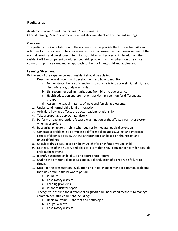# **Pediatrics**

Academic course: 3 credit hours, Year 2 First semester Clinical training: Year 2, four months in Pediatric in‐patient and outpatient settings.

### **Overview:**

The pediatric clinical rotations and the academic course provide the knowledge, skills and attitudes for the resident to be competent in the initial assessment and management of the normal growth and development for infants, children and adolescents. In addition, the resident will be competent to address pediatric problems with emphasis on those most common in primary care, and an approach to the sick infant, child and adolescent.

### **Learning Objectives:**

By the end of the experience, each resident should be able to:

- 1. Describe normal growth and development and how to monitor it
	- a. Demonstrate the use of standard growth charts to track weight, height, head circumference, body mass index
	- b. List recommended immunizations from birth to adolescence
	- c. Health education and promotion, accident prevention for different age groups
	- d. Assess the sexual maturity of male and female adolescents.
- 2. Understand normal child family interaction
- 3. Articulate how age effects the doctor patient relationship
- 4. Take a proper age appropriate history
- 5. Perform an age appropriate focused examination of the affected part(s) or system when appropriate
- 6. Recognize an acutely ill child who requires immediate medical attention.-
- 7. Generate a problem list, Formulate a differential diagnosis, Select and interpret results of diagnostic tests, Outline a treatment plan based on the history and physical findings
- 8. Calculate drug doses based on body weight for an infant or young child
- 9. List features of the history and physical exam that should trigger concern for possible child maltreatment.
- 10. Identify suspected child abuse and appropriate referral
- 11. Outline the differential diagnosis and initial evaluation of a child with failure to thrive.
- 12. Describe the presentation, evaluation and initial management of common problems that may occur in the newborn period:
	- a. Jaundice
	- b. Respiratory distress
	- c. Feeding problems
	- d. Infant at risk for sepsis
- 13. Recognize, describe the differential diagnosis and understand methods to manage common pediatric conditions including:
	- a. Heart murmurs innocent and pathologic
	- b. Cough, wheeze
	- c. Respiratory distress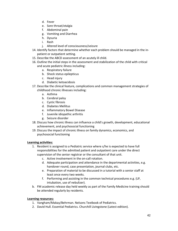- d. Fever
- e. Sore throat/otalgia
- f. Abdominal pain
- g. Vomiting and Diarrhea
- h. Dysuria
- i. Rash
- j. Altered level of consciousness/seizure
- 14. Identify factors that determine whether each problem should be managed in the in‐ patient or outpatient setting.
- 15. Describe the ABCD assessment of an acutely ill child.
- 16. Outline the initial steps in the assessment and stabilization of the child with critical and acute pediatric illness including:
	- a. Respiratory failure
	- b. Shock status epilepticus
	- c. Head injury
	- d. Diabetic ketoacidosis
- 17. Describe the clinical feature, complications and common management strategies of childhood chronic illnesses including:
	- a. Asthma
	- b. Cerebral palsy
	- c. Cystic fibrosis
	- d. Diabetes Mellitus
	- e. Inflammatory Bowel Disease
	- f. Juvenile idiopathic arthritis
	- g. Seizure disorder
- 18. Discuss how chronic illness can influence a child's growth, development, educational achievement, and psychosocial functioning
- 19. Discuss the impact of chronic illness on family dynamics, economics, and psychosocial functioning

#### **Learning activities:**

- 1. Resident is assigned to a Pediatric service where s/he is expected to have full responsibilities for the admitted patient and outpatient care under the direct supervision of the senior registrar or the consultant of that unit.
	- c. Active involvement in the on‐call rotation.
	- d. Adequate participation and attendance in the departmental activities, e.g. handover round, case presentation, journal clubs, etc.
	- e. Preparation of material to be discussed in a tutorial with a senior staff at least once every two weeks.
	- f. Performing and assisting in the common technical procedures e.g. (LP, intubation, use of nebulizer).
- b. FM academic release day held weekly as part of the Family Medicine training should be attended regularly by residents.

#### **Learning resources:**

- 1. Vangham/Makay/Behrman. Nelsons Textbook of Pediatrics.
- 2. David Hull. Essential Pediatrics. Churchill Livingstone (Latest edition).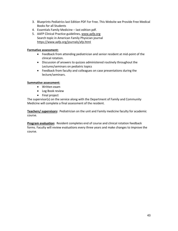- 3. Blueprints Pediatrics last Edition PDF For Free. This Website we Provide Free Medical Books for all Students
- 4. Essentials Family Medicine last edition pdf.
- 5. AAFP Clinical Practice guidelines, www.aafp.org Search topic in American Family Physician journal https://www.aafp.org/journals/afp.html

#### **Formative assessment:**

- Feedback from attending pediatrician and senior resident at mid‐point of the clinical rotation.
- Discussion of answers to quizzes administered routinely throughout the Lectures/seminars on pediatric topics
- Feedback from faculty and colleagues on case presentations during the lecture/seminars.

#### **Summative assessment:**

- Written exam
- Log Book review
- Final project

The supervisor(s) on the service along with the Department of Family and Community Medicine will complete a final assessment of the resident.

**Teachers/ supervisors:** Pediatrician on the unit and Family medicine faculty for academic course.

**Program evaluation:** Resident completes end of course and clinical rotation feedback forms. Faculty will review evaluations every three years and make changes to improve the course.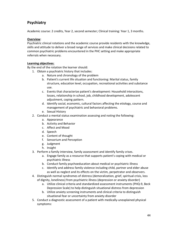# **Psychiatry**

Academic course: 2 credits, Year 2, second semester; Clinical training: Year 1, 3 months.

#### **Overview**:

Psychiatric clinical rotations and the academic course provide residents with the knowledge, skills and attitude to deliver a broad range of services and make clinical decisions related to common psychiatric problems encountered in the PHC setting and make appropriate referrals when necessary.

#### **Learning objectives**:

By the end of the rotation the learner should:

- 1. Obtain a psychiatric history that includes:
	- a. Nature and chronology of the problem
		- b. Patient's current life situation and functioning: Marital status, family structure, education level, occupation, recreational activities and substance use.
		- c. Events that characterize patient's development: Household interactions, losses, relationship in school, job, childhood development, adolescent adjustment, coping pattern.
		- d. Identify social, economic, cultural factors affecting the etiology, course and management of psychiatric and behavioral problems.
	- e. Sexual History
- 2. Conduct a mental status examination assessing and noting the following:
	- a. Appearance
	- b. Activity and Behavior
	- c. Affect and Mood
	- d. Speech
	- e. Content of thought
	- f. Sensorium and Perception
	- g. Judgment
	- h. Insight
- 3. Perform a family interview, family assessment and identify family crises.
	- a. Engage family as a resource that supports patient's coping with medical or psychiatric illness
	- b. Conduct family psychoeducation about medical or psychiatric illness
	- c. Identify and address family violence including child, partner and elder abuse as well as neglect and its effects on the victim, perpetrator and observers.
- 4. Distinguish normal syndromes of distress (demoralization, grief, spiritual crisis, loss of dignity, loneliness) from psychiatric illness (depression or anxiety disorder)
	- a. Utilize clinical criteria and standardized assessment instruments (PHQ‐9, Beck Depression Scale) to help distinguish situational distress from depression
	- b. Utilize anxiety screening instruments and clinical criteria to distinguish situational fear or uncertainty from anxiety disorder
- 5. Conduct a diagnostic assessment of a patient with medically-unexplained physical symptoms: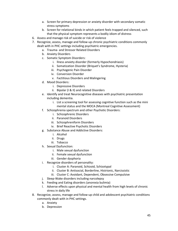- a. Screen for primary depression or anxiety disorder with secondary somatic stress symptoms
- b. Screen for relational binds in which patient feels trapped and silenced, such that the physical symptom represents a bodily idiom of distress
- 6. Assess and manage risk of suicide or risk of violence
- 7. Recognize, assess, manage and follow‐up chronic psychiatric conditions commonly dealt with in PHC settings including psychiatric emergencies.
	- a. Trauma‐ and Stressor Related Disorders
	- b. Anxiety Disorders
	- c. Somatic Symptom Disorders:
		- i. llness anxiety disorder (formerly Hypochondriasis)
		- ii. Somatization Disorder (Briquet's Syndrome, Hysteria)
		- iii. Psychogenic Pain Disorder
		- iv. Conversion Disorder
		- v. Factitious Disorders and Malingering
	- d. Mood Disorders:
		- i. Depressive Disorders
		- ii. Bipolar (I & II) and related Disorders
	- e. Identify and treat Neurocognitive diseases with psychiatric presentation including dementia.
		- i. List a screening tool for assessing cognitive function such as the mini mental status and the MOCA (Montreal Cognitive Assessment)
	- f. Schizophrenia spectrum and other Psychotic Disorders:
		- i. Schizophrenic Disorders
		- ii. Paranoid Disorders
		- iii. Schizophreniform Disorders
		- iv. Brief Reactive Psychotic Disorders
	- g. Substance Abuse and Addictive Disorders:
		- i. Alcohol
		- ii. Drugs
		- iii. Tobacco
	- h. Sexual Dysfunction:
		- i. Male sexual dysfunction
		- ii. Female sexual dysfunction
		- iii. Gender dysphoria
	- i. Recognize disorders of personality:
		- i. Cluster A: Paranoid, Schizoid, Schizotypal
		- ii. Cluster B: Antisocial, Borderline, Histrionic, Narcissistic
		- iii. Cluster C: Avoidant, Dependent, Obsessive Compulsive
	- j. Sleep‐Wake disorders including narcolepsy
	- k. Feeding and Eating disorders (anorexia bulimia)
	- l. Adverse effects upon physical and mental health from high levels of chronic stress in daily life
- 8. Recognize, assess, manage and follow‐up child and adolescent psychiatric conditions commonly dealt with in PHC settings.
	- a. Anxiety
	- b. Depression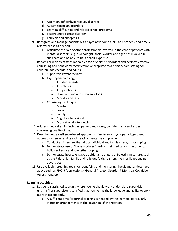- c. Attention deficit/hyperactivity disorder
- d. Autism spectrum disorders
- e. Learning difficulties and related school problems
- f. Posttraumatic stress disorder
- g. Enuresis and encopresis
- 9. Recognize and manage patients with psychiatric complaints, and properly and timely referral those as needed.
	- a. Articulate the role of other professionals involved in the care of patients with mental disorders, e.g. psychologist, social worker and agencies involved in such care and be able to utilize their expertise.
- 10. Be familiar with treatment modalities for psychiatric disorders and perform effective counseling and behavioral modification appropriate to a primary care setting for children, adolescents, and adults.
	- a. Supportive Psychotherapy
	- b. Psychopharmacology:
		- i. Antidepressants
		- ii. Anxiolytics
		- iii. Antipsychotics
		- iv. Stimulant and nonstimulants for ADHD
		- v. Mood stabilizers
	- c. Counseling Techniques:
		- i. Marital
		- ii. Sexual
		- iii. Family
		- iv. Cognitive behavioral
		- v. Motivational interviewing
- 11. Address medical ethics including patient autonomy, confidentiality and issues concerning quality of life.
- 12. Describe how a resilience‐based approach differs from a psychopathology‐based approach when assessing and treating mental health problems;
	- a. Conduct an interview that elicits individual and family strengths for coping
	- b. Demonstrate use of "hope modules" during brief medical visits in order to build resilience and strengthen coping
	- c. Demonstrate how to engage traditional strengths of Palestinian culture, such as the Palestinian family and religious faith, to strengthen resilience against adversities.
- 13. Use available screening tools for identifying and monitoring the diagnoses described above such as PHQ‐9 (depressions), General Anxiety Disorder‐7 Montreal Cognitive Assessment, etc.

#### **Learning activities**:

- 1. Resident is assigned to a unit where he/she should work under close supervision until his/her supervisor is satisfied that he/she has the knowledge and ability to work more independently.
	- a. A sufficient time for formal teaching is needed by the learners, particularly induction arrangements at the beginning of the rotation.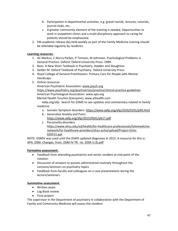- b. Participation in departmental activities, e.g. grand rounds, lectures, tutorials, journal clubs, etc.
- c. A greater community element of the training is needed. Opportunities to work in outpatient clinics and a multi‐disciplinary approach to caring for patients should be emphasized.
- 2. FM academic release day held weekly as part of the Family Medicine training should be attended regularly by residents.

#### **Learning resources**:

- 1. AC Markus, C Murry Parkes, P Tomson, M Johnston. Psychological Problems in General Practice. Oxford. Oxford University Press. 1989.
- 2. Rees. A New Short Textbook in Psychiatry. Hodder and Stoughton.
- 3. Gelder M. Oxford Textbook of Psychiatry. Oxford University Press.
- 4. Royal College of General Practitioners. Primary Care for People with Mental Handicaps.
- 5. Online resources

American Psychiatric Association: www.psych.org https://www.psychiatry.org/psychiatrists/practice/clinical‐practice‐guidelines American Psychological Association: www.apa.org

Mental Health Touches (Everyone): www.athealth.com

Aafp.org/afp: Search for DSM5 to see updates and commentary related to family medicine

- a. Somatic Symptom disorders: https://www.aafp.org/afp/2016/0101/p49.html
- b. Generalize Anxiety and Panic:

https://www.aafp.org/afp/2015/0501/p617.pdf

c. Personality disorders https://www.ohsu.edu/xd/health/for‐healthcare‐professionals/telemedicine‐ network/for‐healthcare‐providers/ohsu‐echo/upload/Project‐Echo‐ 020515.ppt

NOTE: DSMIV was used until the DSM5 updated diagnoses in 2013. A resource for this is: APA\_DSM\_Changes\_from\_DSM-IV-TR\_-to\_DSM-5 (3).pdf

#### **Formative assessment**:

- Feedback from attending psychiatrist and senior resident at mid‐point of the rotation.
- Discussion of answers to quizzes administered routinely throughout the Lectures/seminars on psychiatry topics
- Feedback from faculty and colleagues on a case presentations during the lecture/seminars.

#### **Summative assessment**:

- Written exam
- Log Book review
- Final project

The supervisor in the Department of psychiatry in collaboration with the Department of Family and Community Medicine will assess the resident.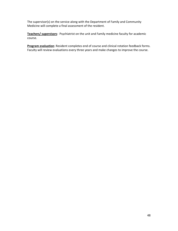The supervisor(s) on the service along with the Department of Family and Community Medicine will complete a final assessment of the resident.

**Teachers/ supervisors**: Psychiatrist on the unit and Family medicine faculty for academic course.

**Program evaluation**: Resident completes end of course and clinical rotation feedback forms. Faculty will review evaluations every three years and make changes to improve the course.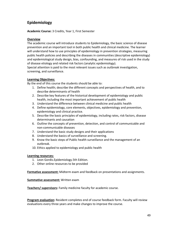# **Epidemiology**

**Academic Course:** 3 Credits, Year 1, First Semester

#### **Overview**

The academic course will introduce students to Epidemiology, the basic science of disease prevention and an important tool in both public health and clinical medicine. The learner will understand how to use principles of epidemiology in prevention strategies, measuring public health policies and describing the diseases in communities (descriptive epidemiology) and epidemiological study design, bias, confounding, and measures of risk used in the study of disease etiology and related risk factors (analytic epidemiology).

Special attention is paid to the most relevant issues such as outbreak investigation, screening, and surveillance.

#### **Learning Objectives:**

By the end of this course the students should be able to:

- 1. Define health; describe the different concepts and perspectives of health, and to describe determinants of health
- 2. Describe key features of the historical development of epidemiology and public health, including the most important achievement of public health
- 3. Understand the difference between clinical medicine and public health
- 4. Define epidemiology, core elements, objectives, epidemiology and prevention, epidemiology and clinical practice.
- 5. Describe the basic principles of epidemiology, including rates, risk factors, disease determinants and causation
- 6. Outline the concepts of prevention, detection, and control of communicable and non‐communicable diseases
- 7. Understand the basic study designs and their applications
- 8. Understand the basics of surveillance and screening.
- 9. Know the basic steps of Public health surveillance and the management of an outbreak.
- 10. Ethics applied to epidemiology and public health

#### **Learning resources:**

- 1. Leon Gordis.Epidemiology.5th Edition.
- 2. Other online resources to be provided

**Formative assessment:** Midterm exam and feedback on presentations and assignments.

**Summative assessment:** Written exam

**Teachers/ supervisors:** Family medicine faculty for academic course.

**Program evaluation:** Resident completes end of course feedback form. Faculty will review evaluations every three years and make changes to improve the course.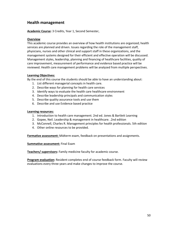# **Health management**

**Academic Course:** 3 Credits, Year 1, Second Semester,

#### **Overview**

This academic course provides an overview of how health institutions are organized; health services are planned and driven. Issues regarding the role of the management staff, physicians, nurses and other clinical and support staff in these organizations, and the management systems designed for their efficient and effective operation will be discussed. Management styles, leadership, planning and financing of healthcare facilities, quality of care improvement, measurement of performance and evidence based practice will be reviewed. Health care management problems will be analyzed from multiple perspectives.

#### **Learning Objectives:**

By the end of this course the students should be able to have an understanding about:

- 1. List different managerial concepts in health care.
- 2. Describe ways for planning for health care services
- 3. Identify ways to evaluate the health care healthcare environment
- 4. Describe leadership principals and communication styles
- 5. Describe quality assurance tools and use them
- 6. Describe and use Evidence based practice

#### **Learning resources:**

- 1. Introduction to health care management. 2nd ed. Jones & Bartlett Learning
- 2. Gopee, Neil. Leadership & management in healthcare. .2nd edition
- 3. McConnell, Charles R. Management principles for health professionals. 5th edition
- 4. Other online resources to be provided.

**Formative assessment:** Midterm exam, feedback on presentations and assignments.

**Summative assessment:** Final Exam

**Teachers/ supervisors:** Family medicine faculty for academic course.

**Program evaluation:** Resident completes end of course feedback form. Faculty will review evaluations every three years and make changes to improve the course.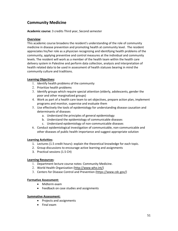# **Community Medicine**

**Academic course:** 3 credits Third year, Second semester

#### **Overview**:

This academic course broadens the resident's understanding of the role of community medicine in disease prevention and promoting health at community level. The resident appreciates his/her role as a physician recognizing and identifying health problems of the community, applying preventive and control measures at the individual and community levels. The resident will work as a member of the health team within the health care delivery system in Palestine and perform data collection, analysis and interpretation of health related data to be used in assessment of health statuses bearing in mind the community culture and traditions.

#### **Learning Objectives:**

- 1. Identify health problems of the community
- 2. Prioritize health problems
- 3. Identify groups which require special attention (elderly, adolescents, gender the poor and other marginalized groups)
- 4. Work as part of a health care team to set objectives, prepare action plan, implement programs and monitor, supervise and evaluate them
- 5. Use effectively the tools of epidemiology for understanding disease causation and determinants of diseases
	- a. Understand the principles of general epidemiology
	- b. Understand the epidemiology of communicable diseases
	- c. Understand epidemiology of non‐communicable diseases
- 6. Conduct epidemiological investigation of communicable, non‐communicable and other diseases of public health importance and suggest appropriate solution

#### **Learning Activities**:

- 1. Lectures (1.5 credit hours): explain the theoretical knowledge for each topic.
- 2. Group discussions to encourage active learning and assignments
- 3. Practical sessions (1.5 CH)

#### **Learning Resources**:

- 1. Department lecture course notes: Community Medicine.
- 2. World Health Organization (http://www.who.int/)
- 3. Centers for Disease Control and Prevention (https://www.cdc.gov/)

#### **Formative Assessment:**

- Midterm exam
- Feedback on case studies and assignments

#### **Summative Assessment:**

- Projects and assignments
- Final exam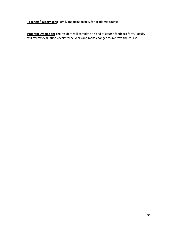**Teachers/ supervisors:** Family medicine faculty for academic course.

**Program Evaluation:** The resident will complete an end of course feedback form. Faculty will review evaluations every three years and make changes to improve the course.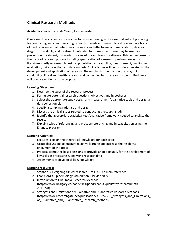# **Clinical Research Methods**

**Academic course:** 3 credits Year 3, First semester,

**Overview**: This academic course aims to provide training in the essential skills of preparing for conducting and communicating research in medical science. Clinical research is a branch of medical science that determines the safety and effectiveness of medications, devices, diagnostic products, and treatments intended for human use. These may be used for prevention, treatment, diagnosis or for relief of symptoms in a disease. This course presents the steps of research process including specification of a research problem, review of literature, clarifying research designs, population and sampling, measurement/qualitative evaluation, data collection and data analysis. Ethical issues will be considered related to the development and application of research. The emphasis is on the practical ways of conducting clinical and health research and conducting basic research projects. Residents will practice writing a study proposal.

#### **Learning Objectives**:

- 1. Describe the steps of the research process
- 2. Formulate potential research questions, objectives and hypotheses.
- 3. Select the appropriate study design and measurement/qualitative tools and design a data collection plan
- 4. Specify a sampling rationale and design
- 5. Discuss the ethical issues related to conducting a research study
- 6. Identify the appropriate statistical test/qualitative framework needed to analyze the results
- 7. Explain styles of referencing and practice referencing and in‐text citation using the Endnote program

#### **Learning Activities:**

- 1. Lectures: explain the theoretical knowledge for each topic
- 2. Group discussions to encourage active learning and increase the residents' enjoyment of the topic
- 3. Practical computer‐based sessions to provide an opportunity for the development of key skills in processing & analyzing research data
- 4. Assignments to develop skills & knowledge

#### **Learning resources:**

- 1. Stephen B. Designing clinical research, 3rd ED. (The main reference)
- 2. Leon Gordis. Epidemiology, 4th edition, Elsevier 2009
- 3. Introduction to Qualitative Research Methods: (https://www.ucalgary.ca/paed/files/paed/chaput‐qualitativeresearchmeth‐ 2017.pdf)
- 4. Strengths and Limitations of Qualitative and Quantitative Research Methods (https://www.researchgate.net/publication/319852576\_Strengths\_and\_Limitations\_ of Qualitative and Quantitative Research Methods)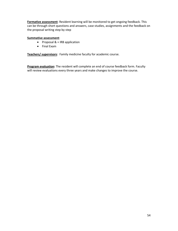**Formative assessment**: Resident learning will be monitored to get ongoing feedback. This can be through short questions and answers, case studies, assignments and the feedback on the proposal writing step by step

#### **Summative assessment**:

- Proposal  $& 4$  IRB application
- Final Exam

**Teachers/ supervisors**: Family medicine faculty for academic course.

**Program evaluation:** The resident will complete an end of course feedback form. Faculty will review evaluations every three years and make changes to improve the course.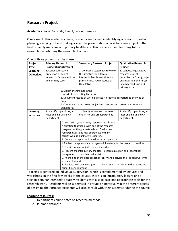# **Research Project**

**Academic course:** 6 credits**,** Year 4, Second semester,

**Overview**: In this academic course, residents are trained in identifying a research question, planning, carrying out and making a scientific presentation on a self‐chosen subject in the field of family medicine and primary health care. This prepares them for doing future research the critiquing the research of others.

| Project                       | <b>Primary Research</b>                                                                          |                                                                           | <b>Secondary Research Project</b>                                                                                                                      | <b>Qualitative Research</b>                                                                                                                        |
|-------------------------------|--------------------------------------------------------------------------------------------------|---------------------------------------------------------------------------|--------------------------------------------------------------------------------------------------------------------------------------------------------|----------------------------------------------------------------------------------------------------------------------------------------------------|
| <b>Type</b>                   | <b>Project (Quantitative)</b>                                                                    |                                                                           |                                                                                                                                                        | Project                                                                                                                                            |
| Learning<br><b>Objectives</b> | 1. Conduct research<br>project on a topic of<br>interest in family medicine<br>and primary care. |                                                                           | 1. Conduct a systematic review of<br>the literature on a topic of<br>interest in family medicine and<br>primary care. (Quantitative or<br>Qualitative) | 1. Conduct a qualitative<br>research project<br>(interview or focus group)<br>on a question of interest<br>in family medicine and<br>primary care. |
|                               |                                                                                                  | 2. Explain the findings in the                                            |                                                                                                                                                        |                                                                                                                                                    |
|                               |                                                                                                  |                                                                           | context of the existing literature                                                                                                                     |                                                                                                                                                    |
|                               |                                                                                                  | project                                                                   | 3. Document results by writing a research report appropriate to the type of                                                                            |                                                                                                                                                    |
|                               |                                                                                                  |                                                                           | 4. Communicate the project objectives, process and results in written and                                                                              |                                                                                                                                                    |
|                               |                                                                                                  | verbal form                                                               |                                                                                                                                                        |                                                                                                                                                    |
| Learning                      |                                                                                                  | 1. Identify supervisors, at                                               | 1. Identify supervisors, at least                                                                                                                      | 1. Identify supervisors, at                                                                                                                        |
| activities                    | least one in FM and CH                                                                           |                                                                           | one in FM and CH department.                                                                                                                           | least one in FM and CH                                                                                                                             |
|                               | department.                                                                                      |                                                                           |                                                                                                                                                        | department.                                                                                                                                        |
|                               |                                                                                                  |                                                                           | 2. Work with your primary supervisor to choose                                                                                                         |                                                                                                                                                    |
|                               |                                                                                                  |                                                                           | a question that fits in with one of the research                                                                                                       |                                                                                                                                                    |
|                               |                                                                                                  |                                                                           | programs of the graduate school. Qualitative                                                                                                           |                                                                                                                                                    |
|                               |                                                                                                  |                                                                           | research questions may coordinate with PH                                                                                                              |                                                                                                                                                    |
|                               |                                                                                                  |                                                                           | faculty who do qualitative research.                                                                                                                   |                                                                                                                                                    |
|                               |                                                                                                  | 3. Create study plan and time line with supervisor                        |                                                                                                                                                        |                                                                                                                                                    |
|                               |                                                                                                  | 4. Review the appropriate background literature for the research question |                                                                                                                                                        |                                                                                                                                                    |
|                               |                                                                                                  |                                                                           | 5. Obtain human subjects review if needed.                                                                                                             |                                                                                                                                                    |
|                               |                                                                                                  |                                                                           | 6. Present the introductory chapter (Research question and theoretical                                                                                 |                                                                                                                                                    |
|                               |                                                                                                  | background to the other residents).                                       |                                                                                                                                                        |                                                                                                                                                    |
|                               |                                                                                                  |                                                                           | 7. At the end of the data collection, entry and analysis, the resident will write                                                                      |                                                                                                                                                    |
|                               |                                                                                                  | a research report.                                                        |                                                                                                                                                        |                                                                                                                                                    |
|                               |                                                                                                  |                                                                           | 8. Participate in seminars, journal clubs or similar activities in the respective                                                                      |                                                                                                                                                    |
|                               |                                                                                                  | scientific environment.                                                   |                                                                                                                                                        |                                                                                                                                                    |

One of three projects can be chosen:

Teaching is centered on individual supervision, which is complemented by lectures and workshops. In the first few weeks of the course, there is an introductory lecture and a starting seminar intended to supply residents with a solid base and appropriate tools for the research work. Residents will be supervised in groups or individually in the different stages of designing their project. Residents will also consult with their supervisor during the course.

#### **Learning resources:**

- 1. Department course notes on research methods.
- 2. Pubmed database